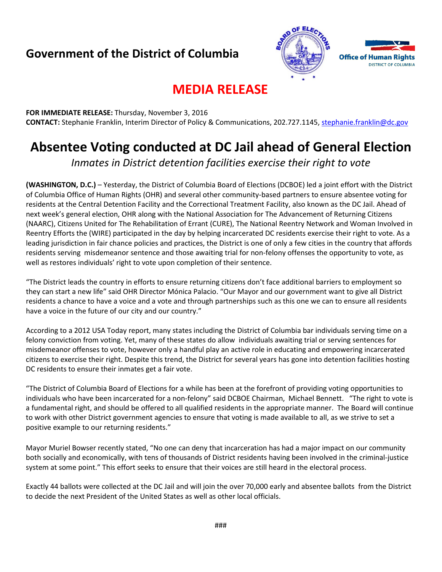## **Government of the District of Columbia**



## **MEDIA RELEASE**

**FOR IMMEDIATE RELEASE:** Thursday, November 3, 2016 **CONTACT:** Stephanie Franklin, Interim Director of Policy & Communications, 202.727.1145, [stephanie.franklin@dc.gov](mailto:stephanie.franklin@dc.gov)

# **Absentee Voting conducted at DC Jail ahead of General Election**

*Inmates in District detention facilities exercise their right to vote*

**(WASHINGTON, D.C.)** – Yesterday, the District of Columbia Board of Elections (DCBOE) led a joint effort with the District of Columbia Office of Human Rights (OHR) and several other community-based partners to ensure absentee voting for residents at the Central Detention Facility and the Correctional Treatment Facility, also known as the DC Jail. Ahead of next week's general election, OHR along with the National Association for The Advancement of Returning Citizens (NAARC), Citizens United for The Rehabilitation of Errant (CURE), The National Reentry Network and Woman Involved in Reentry Efforts the (WIRE) participated in the day by helping incarcerated DC residents exercise their right to vote. As a leading jurisdiction in fair chance policies and practices, the District is one of only a few cities in the country that affords residents serving misdemeanor sentence and those awaiting trial for non-felony offenses the opportunity to vote, as well as restores individuals' right to vote upon completion of their sentence.

"The District leads the country in efforts to ensure returning citizens don't face additional barriers to employment so they can start a new life" said OHR Director Mónica Palacio. "Our Mayor and our government want to give all District residents a chance to have a voice and a vote and through partnerships such as this one we can to ensure all residents have a voice in the future of our city and our country."

According to a 2012 USA Today report, many states including the District of Columbia bar individuals serving time on a felony conviction from voting. Yet, many of these states do allow individuals awaiting trial or serving sentences for misdemeanor offenses to vote, however only a handful play an active role in educating and empowering incarcerated citizens to exercise their right. Despite this trend, the District for several years has gone into detention facilities hosting DC residents to ensure their inmates get a fair vote.

"The District of Columbia Board of Elections for a while has been at the forefront of providing voting opportunities to individuals who have been incarcerated for a non-felony" said DCBOE Chairman, Michael Bennett. "The right to vote is a fundamental right, and should be offered to all qualified residents in the appropriate manner. The Board will continue to work with other District government agencies to ensure that voting is made available to all, as we strive to set a positive example to our returning residents."

Mayor Muriel Bowser recently stated, "No one can deny that incarceration has had a major impact on our community both socially and economically, with tens of thousands of District residents having been involved in the criminal-justice system at some point." This effort seeks to ensure that their voices are still heard in the electoral process.

Exactly 44 ballots were collected at the DC Jail and will join the over 70,000 early and absentee ballots from the District to decide the next President of the United States as well as other local officials.